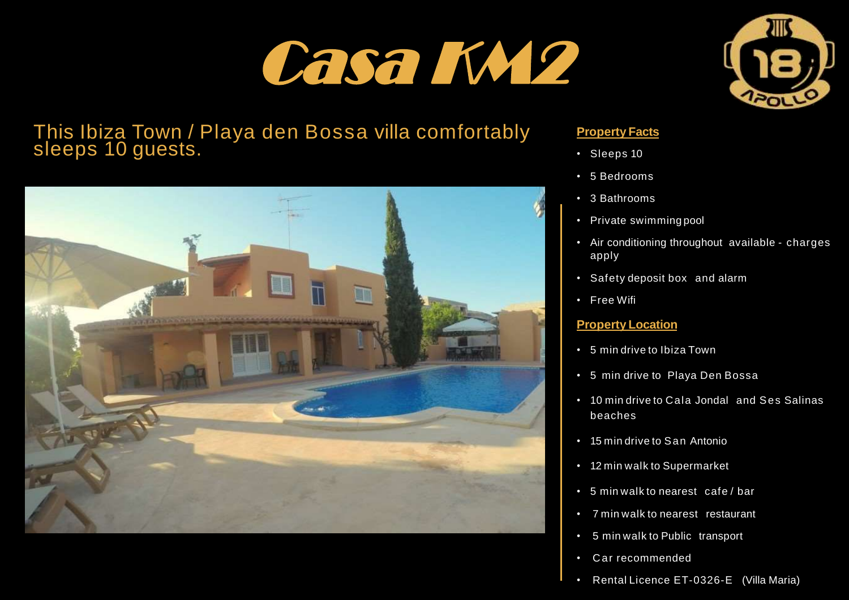# Casa KM2



## This Ibiza Town / Playa den Bossa villa comfortably sleeps 10 guests.



#### **Property Facts**

- Sleeps 10
- 5 Bedrooms
- 3 Bathrooms
- Private swimming pool
- Air conditioning throughout available charges apply
- Safety deposit box and alarm
- Free Wifi

#### **Property Location**

- 5 min drive to Ibiza Town
- 5 min drive to Playa Den Bossa
- 10 min drive to Cala Jondal and Ses Salinas beaches
- 15 min drive to San Antonio
- 12 min walk to Supermarket
- 5 min walk to nearest cafe / bar
- 7 min walk to nearest restaurant
- 5 min walk to Public transport
- C ar recommended
- Rental Licence ET-0326-E (Villa Maria)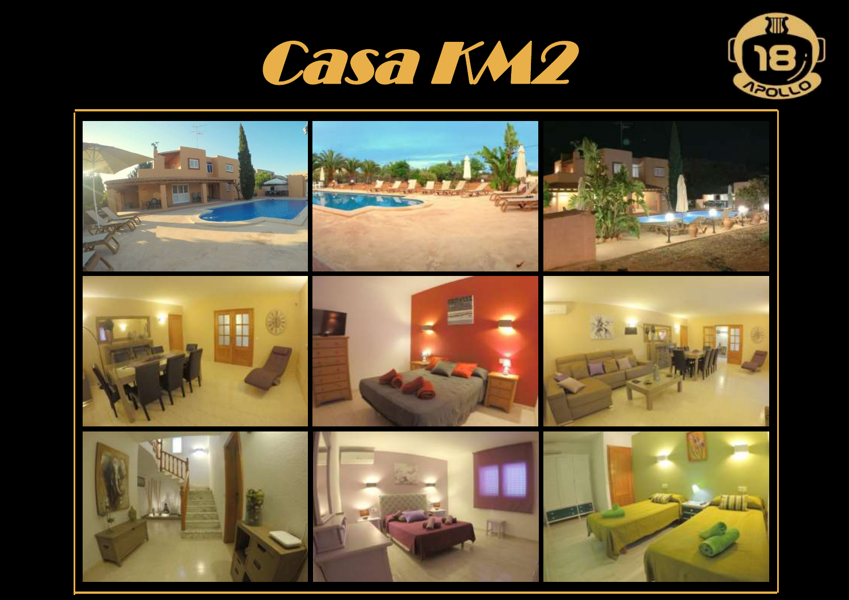



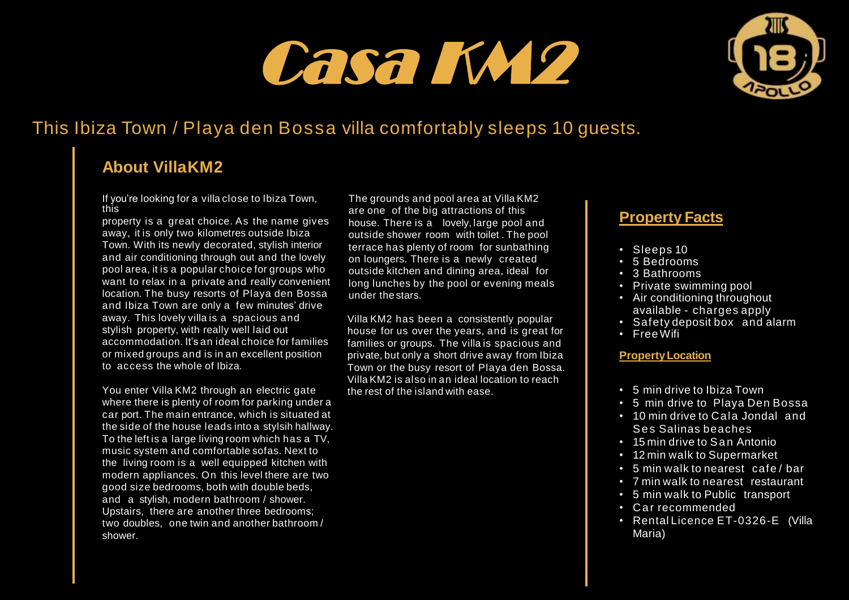## Casa KM2



## This Ibiza Town / Playa den Bossa villa comfortably sleeps 10 guests.

## **About VillaKM2**

If you're looking for a villa close to Ibiza Town, this

property is a great choice. As the name gives away, it is only two kilometres outside Ibiza Town. With its newly decorated, stylish interior and air conditioning through out and the lovely pool area, it is a popular choice for groups who want to relax in a private and really convenient location. The busy resorts of Playa den Bossa and Ibiza Town are only a few minutes' drive away. This lovely villa is a spacious and stylish property, with really well laid out accommodation. It's an ideal choice for families or mixed groups and is in an excellent position to access the whole of Ibiza.

You enter Villa KM2 through an electric gate where there is plenty of room for parking under a car port. The main entrance, which is situated at the side of the house leads into a stylsih hallway. To the left is a large living room which has a TV. music system and comfortable sofas. Next to the living room is a well equipped kitchen with modern appliances. On this level there are two good size bedrooms, both with double beds, and a stylish, modern bathroom / shower. Upstairs, there are another three bedrooms; two doubles, one twin and another bathroom / shower.

The grounds and pool area at Villa KM2 are one of the big attractions of this house. There is a lovely, large pool and outside shower room with toilet . The pool terrace has plenty of room for sunbathing on loungers. There is a newly created outside kitchen and dining area, ideal for long lunches by the pool or evening meals under the stars.

Villa KM2 has been a consistently popular house for us over the years, and is great for families or groups. The villa is spacious and private, but only a short drive away from Ibiza Town or the busy resort of Playa den Bossa. Villa KM2 is also in an ideal location to reach the rest of the island with ease.

### **Property Facts**

- Sleeps 10
- 5 Bedrooms
- 3 Bathrooms
- Private swimming pool
- Air conditioning throughout available - charges apply
- Safety deposit box and alarm
- Free Wifi

#### **PropertyLocation**

- 5 min drive to Ibiza Town
- 5 min drive to Playa Den Bossa
- 10 min drive to Cala Jondal and Ses Salinas beaches
- 15 min drive to San Antonio
- 12 min walk to Supermarket
- 5 min walk to nearest cafe / bar
- 7 min walk to nearest restaurant
- 5 min walk to Public transport
- Car recommended
- Rental Licence ET-0326-E (Villa Maria)